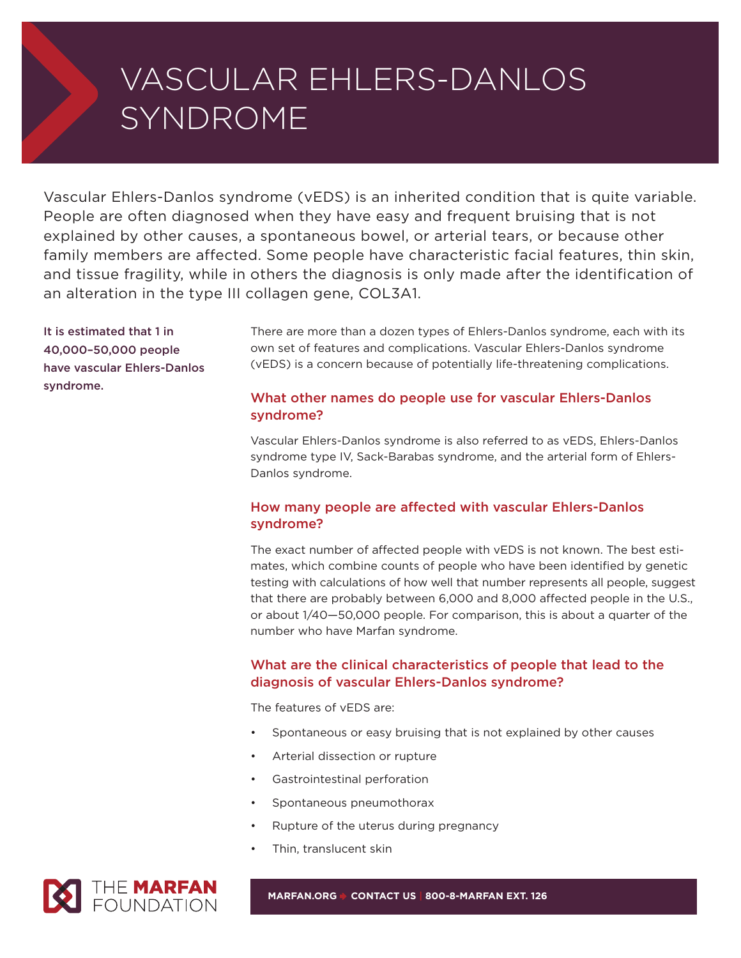# VASCULAR EHLERS-DANLOS SYNDROME

Vascular Ehlers-Danlos syndrome (vEDS) is an inherited condition that is quite variable. People are often diagnosed when they have easy and frequent bruising that is not explained by other causes, a spontaneous bowel, or arterial tears, or because other family members are affected. Some people have characteristic facial features, thin skin, and tissue fragility, while in others the diagnosis is only made after the identification of an alteration in the type III collagen gene, COL3A1.

**It is estimated that 1 in 40,000–50,000 people have vascular Ehlers-Danlos syndrome.**

There are more than a dozen types of Ehlers-Danlos syndrome, each with its own set of features and complications. Vascular Ehlers-Danlos syndrome (vEDS) is a concern because of potentially life-threatening complications.

# **What other names do people use for vascular Ehlers-Danlos syndrome?**

Vascular Ehlers-Danlos syndrome is also referred to as vEDS, Ehlers-Danlos syndrome type IV, Sack-Barabas syndrome, and the arterial form of Ehlers-Danlos syndrome.

# **How many people are affected with vascular Ehlers-Danlos syndrome?**

The exact number of affected people with vEDS is not known. The best estimates, which combine counts of people who have been identified by genetic testing with calculations of how well that number represents all people, suggest that there are probably between 6,000 and 8,000 affected people in the U.S., or about 1/40—50,000 people. For comparison, this is about a quarter of the number who have Marfan syndrome.

# **What are the clinical characteristics of people that lead to the diagnosis of vascular Ehlers-Danlos syndrome?**

The features of vEDS are:

- Spontaneous or easy bruising that is not explained by other causes
- Arterial dissection or rupture
- Gastrointestinal perforation
- Spontaneous pneumothorax
- Rupture of the uterus during pregnancy
- Thin, translucent skin



**MARFAN.ORG** 4 **CONTACT US | 800-8-MARFAN EXT. 126**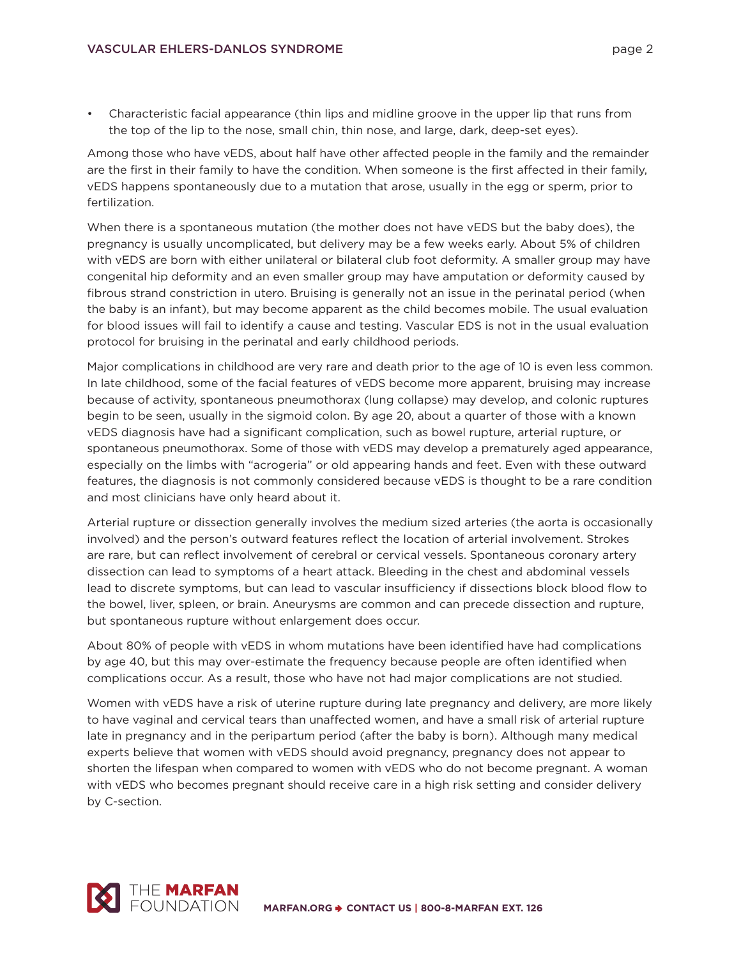• Characteristic facial appearance (thin lips and midline groove in the upper lip that runs from the top of the lip to the nose, small chin, thin nose, and large, dark, deep-set eyes).

Among those who have vEDS, about half have other affected people in the family and the remainder are the first in their family to have the condition. When someone is the first affected in their family, vEDS happens spontaneously due to a mutation that arose, usually in the egg or sperm, prior to fertilization.

When there is a spontaneous mutation (the mother does not have vEDS but the baby does), the pregnancy is usually uncomplicated, but delivery may be a few weeks early. About 5% of children with vEDS are born with either unilateral or bilateral club foot deformity. A smaller group may have congenital hip deformity and an even smaller group may have amputation or deformity caused by fibrous strand constriction in utero. Bruising is generally not an issue in the perinatal period (when the baby is an infant), but may become apparent as the child becomes mobile. The usual evaluation for blood issues will fail to identify a cause and testing. Vascular EDS is not in the usual evaluation protocol for bruising in the perinatal and early childhood periods.

Major complications in childhood are very rare and death prior to the age of 10 is even less common. In late childhood, some of the facial features of vEDS become more apparent, bruising may increase because of activity, spontaneous pneumothorax (lung collapse) may develop, and colonic ruptures begin to be seen, usually in the sigmoid colon. By age 20, about a quarter of those with a known vEDS diagnosis have had a significant complication, such as bowel rupture, arterial rupture, or spontaneous pneumothorax. Some of those with vEDS may develop a prematurely aged appearance, especially on the limbs with "acrogeria" or old appearing hands and feet. Even with these outward features, the diagnosis is not commonly considered because vEDS is thought to be a rare condition and most clinicians have only heard about it.

Arterial rupture or dissection generally involves the medium sized arteries (the aorta is occasionally involved) and the person's outward features reflect the location of arterial involvement. Strokes are rare, but can reflect involvement of cerebral or cervical vessels. Spontaneous coronary artery dissection can lead to symptoms of a heart attack. Bleeding in the chest and abdominal vessels lead to discrete symptoms, but can lead to vascular insufficiency if dissections block blood flow to the bowel, liver, spleen, or brain. Aneurysms are common and can precede dissection and rupture, but spontaneous rupture without enlargement does occur.

About 80% of people with vEDS in whom mutations have been identified have had complications by age 40, but this may over-estimate the frequency because people are often identified when complications occur. As a result, those who have not had major complications are not studied.

Women with vEDS have a risk of uterine rupture during late pregnancy and delivery, are more likely to have vaginal and cervical tears than unaffected women, and have a small risk of arterial rupture late in pregnancy and in the peripartum period (after the baby is born). Although many medical experts believe that women with vEDS should avoid pregnancy, pregnancy does not appear to shorten the lifespan when compared to women with vEDS who do not become pregnant. A woman with vEDS who becomes pregnant should receive care in a high risk setting and consider delivery by C-section.

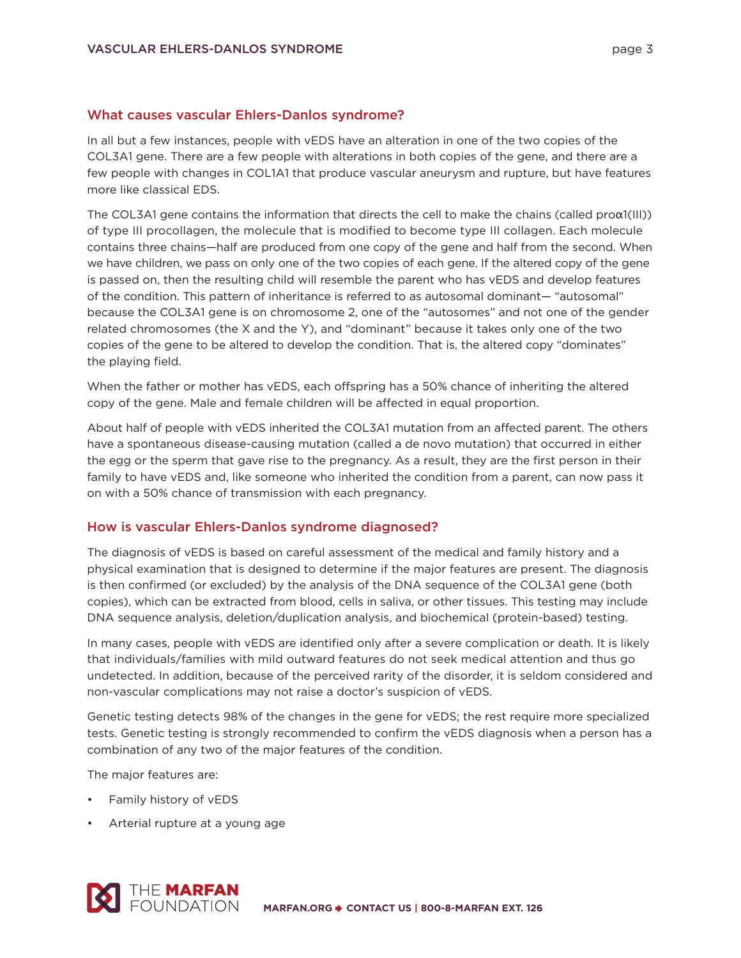#### **What causes vascular Ehlers-Danlos syndrome?**

In all but a few instances, people with vEDS have an alteration in one of the two copies of the COL3A1 gene. There are a few people with alterations in both copies of the gene, and there are a few people with changes in COL1A1 that produce vascular aneurysm and rupture, but have features more like classical EDS.

The COL3A1 gene contains the information that directs the cell to make the chains (called proα1(III)) of type III procollagen, the molecule that is modified to become type III collagen. Each molecule contains three chains—half are produced from one copy of the gene and half from the second. When we have children, we pass on only one of the two copies of each gene. If the altered copy of the gene is passed on, then the resulting child will resemble the parent who has vEDS and develop features of the condition. This pattern of inheritance is referred to as autosomal dominant— "autosomal" because the COL3A1 gene is on chromosome 2, one of the "autosomes" and not one of the gender related chromosomes (the X and the Y), and "dominant" because it takes only one of the two copies of the gene to be altered to develop the condition. That is, the altered copy "dominates" the playing field.

When the father or mother has vEDS, each offspring has a 50% chance of inheriting the altered copy of the gene. Male and female children will be affected in equal proportion.

About half of people with vEDS inherited the COL3A1 mutation from an affected parent. The others have a spontaneous disease-causing mutation (called a de novo mutation) that occurred in either the egg or the sperm that gave rise to the pregnancy. As a result, they are the first person in their family to have vEDS and, like someone who inherited the condition from a parent, can now pass it on with a 50% chance of transmission with each pregnancy.

#### **How is vascular Ehlers-Danlos syndrome diagnosed?**

The diagnosis of vEDS is based on careful assessment of the medical and family history and a physical examination that is designed to determine if the major features are present. The diagnosis is then confirmed (or excluded) by the analysis of the DNA sequence of the COL3A1 gene (both copies), which can be extracted from blood, cells in saliva, or other tissues. This testing may include DNA sequence analysis, deletion/duplication analysis, and biochemical (protein-based) testing.

In many cases, people with vEDS are identified only after a severe complication or death. It is likely that individuals/families with mild outward features do not seek medical attention and thus go undetected. In addition, because of the perceived rarity of the disorder, it is seldom considered and non-vascular complications may not raise a doctor's suspicion of vEDS.

Genetic testing detects 98% of the changes in the gene for vEDS; the rest require more specialized tests. Genetic testing is strongly recommended to confirm the vEDS diagnosis when a person has a combination of any two of the major features of the condition.

The major features are:

- Family history of vEDS
- Arterial rupture at a young age

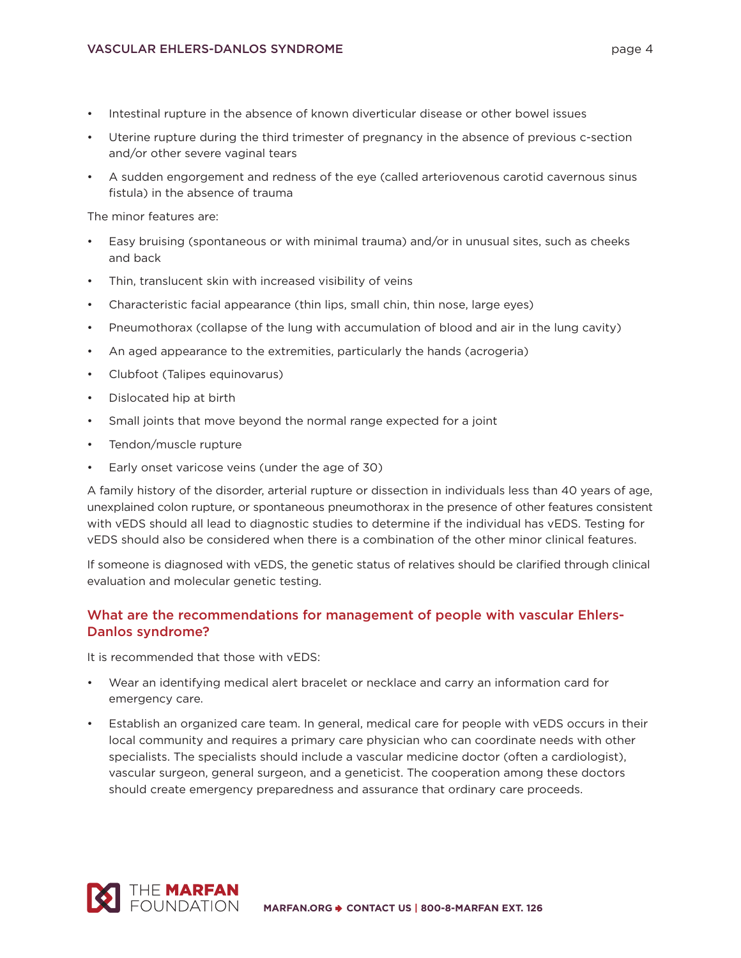- Intestinal rupture in the absence of known diverticular disease or other bowel issues
- Uterine rupture during the third trimester of pregnancy in the absence of previous c-section and/or other severe vaginal tears
- A sudden engorgement and redness of the eye (called arteriovenous carotid cavernous sinus fistula) in the absence of trauma

The minor features are:

- Easy bruising (spontaneous or with minimal trauma) and/or in unusual sites, such as cheeks and back
- Thin, translucent skin with increased visibility of veins
- Characteristic facial appearance (thin lips, small chin, thin nose, large eyes)
- Pneumothorax (collapse of the lung with accumulation of blood and air in the lung cavity)
- An aged appearance to the extremities, particularly the hands (acrogeria)
- Clubfoot (Talipes equinovarus)
- Dislocated hip at birth
- Small joints that move beyond the normal range expected for a joint
- Tendon/muscle rupture
- Early onset varicose veins (under the age of 30)

A family history of the disorder, arterial rupture or dissection in individuals less than 40 years of age, unexplained colon rupture, or spontaneous pneumothorax in the presence of other features consistent with vEDS should all lead to diagnostic studies to determine if the individual has vEDS. Testing for vEDS should also be considered when there is a combination of the other minor clinical features.

If someone is diagnosed with vEDS, the genetic status of relatives should be clarified through clinical evaluation and molecular genetic testing.

## **What are the recommendations for management of people with vascular Ehlers-Danlos syndrome?**

It is recommended that those with vEDS:

- Wear an identifying medical alert bracelet or necklace and carry an information card for emergency care.
- Establish an organized care team. In general, medical care for people with vEDS occurs in their local community and requires a primary care physician who can coordinate needs with other specialists. The specialists should include a vascular medicine doctor (often a cardiologist), vascular surgeon, general surgeon, and a geneticist. The cooperation among these doctors should create emergency preparedness and assurance that ordinary care proceeds.

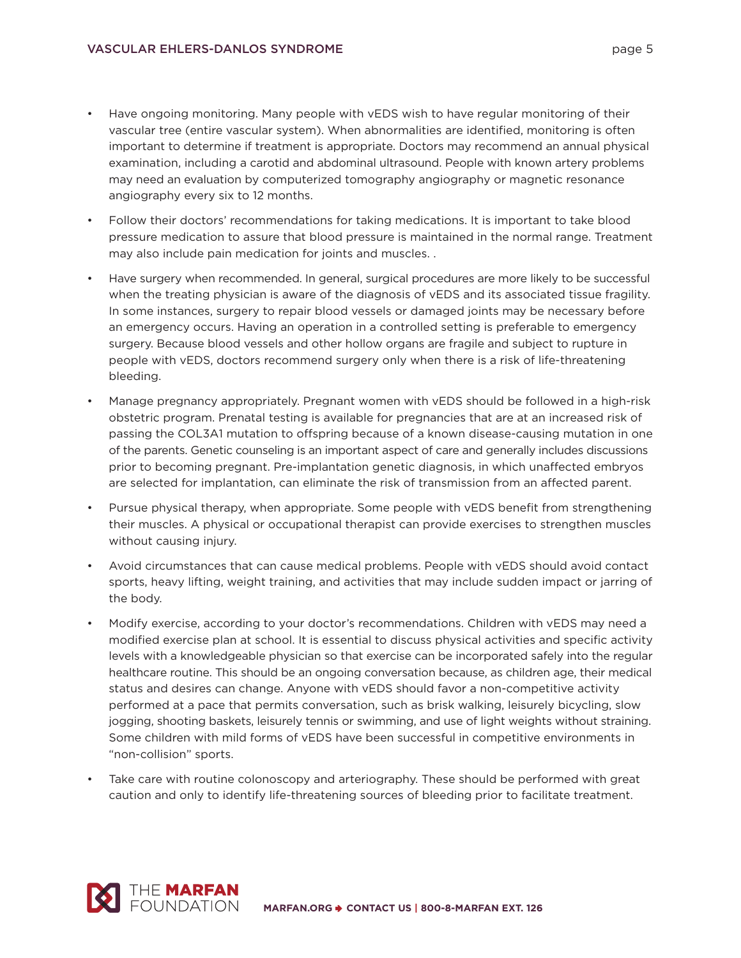- Have ongoing monitoring. Many people with vEDS wish to have regular monitoring of their vascular tree (entire vascular system). When abnormalities are identified, monitoring is often important to determine if treatment is appropriate. Doctors may recommend an annual physical examination, including a carotid and abdominal ultrasound. People with known artery problems may need an evaluation by computerized tomography angiography or magnetic resonance angiography every six to 12 months.
- Follow their doctors' recommendations for taking medications. It is important to take blood pressure medication to assure that blood pressure is maintained in the normal range. Treatment may also include pain medication for joints and muscles. .
- Have surgery when recommended. In general, surgical procedures are more likely to be successful when the treating physician is aware of the diagnosis of vEDS and its associated tissue fragility. In some instances, surgery to repair blood vessels or damaged joints may be necessary before an emergency occurs. Having an operation in a controlled setting is preferable to emergency surgery. Because blood vessels and other hollow organs are fragile and subject to rupture in people with vEDS, doctors recommend surgery only when there is a risk of life-threatening bleeding.
- Manage pregnancy appropriately. Pregnant women with vEDS should be followed in a high-risk obstetric program. Prenatal testing is available for pregnancies that are at an increased risk of passing the COL3A1 mutation to offspring because of a known disease-causing mutation in one of the parents. Genetic counseling is an important aspect of care and generally includes discussions prior to becoming pregnant. Pre-implantation genetic diagnosis, in which unaffected embryos are selected for implantation, can eliminate the risk of transmission from an affected parent.
- Pursue physical therapy, when appropriate. Some people with vEDS benefit from strengthening their muscles. A physical or occupational therapist can provide exercises to strengthen muscles without causing injury.
- Avoid circumstances that can cause medical problems. People with vEDS should avoid contact sports, heavy lifting, weight training, and activities that may include sudden impact or jarring of the body.
- Modify exercise, according to your doctor's recommendations. Children with vEDS may need a modified exercise plan at school. It is essential to discuss physical activities and specific activity levels with a knowledgeable physician so that exercise can be incorporated safely into the regular healthcare routine. This should be an ongoing conversation because, as children age, their medical status and desires can change. Anyone with vEDS should favor a non-competitive activity performed at a pace that permits conversation, such as brisk walking, leisurely bicycling, slow jogging, shooting baskets, leisurely tennis or swimming, and use of light weights without straining. Some children with mild forms of vEDS have been successful in competitive environments in "non-collision" sports.
- Take care with routine colonoscopy and arteriography. These should be performed with great caution and only to identify life-threatening sources of bleeding prior to facilitate treatment.